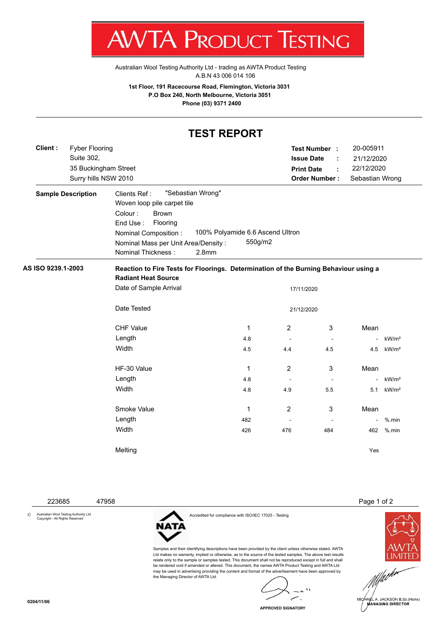

Australian Wool Testing Authority Ltd - trading as AWTA Product Testing A.B.N 43 006 014 106

**1st Floor, 191 Racecourse Road, Flemington, Victoria 3031 P.O Box 240, North Melbourne, Victoria 3051 Phone (03) 9371 2400**

## **TEST REPORT**

| Client:                   | <b>Fyber Flooring</b><br>Suite 302,<br>35 Buckingham Street<br>Surry hills NSW 2010 |                                                                                                                                                                                      |                                        |                                             | <b>Print Date</b>        | Test Number :<br><b>Issue Date</b><br>÷<br><b>Order Number:</b> | 20-005911<br>21/12/2020<br>22/12/2020<br>Sebastian Wrong |                   |  |  |  |  |  |
|---------------------------|-------------------------------------------------------------------------------------|--------------------------------------------------------------------------------------------------------------------------------------------------------------------------------------|----------------------------------------|---------------------------------------------|--------------------------|-----------------------------------------------------------------|----------------------------------------------------------|-------------------|--|--|--|--|--|
| <b>Sample Description</b> |                                                                                     | Clients Ref:<br>Woven loop pile carpet tile<br>Colour:<br><b>Brown</b><br>Flooring<br>End Use:<br>Nominal Composition :<br>Nominal Mass per Unit Area/Density:<br>Nominal Thickness: | "Sebastian Wrong"<br>2.8 <sub>mm</sub> | 100% Polyamide 6.6 Ascend Ultron<br>550g/m2 |                          |                                                                 |                                                          |                   |  |  |  |  |  |
| AS ISO 9239.1-2003        |                                                                                     | Reaction to Fire Tests for Floorings. Determination of the Burning Behaviour using a<br><b>Radiant Heat Source</b>                                                                   |                                        |                                             |                          |                                                                 |                                                          |                   |  |  |  |  |  |
|                           |                                                                                     | Date of Sample Arrival                                                                                                                                                               |                                        |                                             |                          | 17/11/2020                                                      |                                                          |                   |  |  |  |  |  |
|                           |                                                                                     | Date Tested                                                                                                                                                                          |                                        |                                             |                          | 21/12/2020                                                      |                                                          |                   |  |  |  |  |  |
|                           |                                                                                     | <b>CHF Value</b>                                                                                                                                                                     |                                        | 1                                           | 2                        | 3                                                               | Mean                                                     |                   |  |  |  |  |  |
|                           |                                                                                     | Length                                                                                                                                                                               |                                        | 4.8                                         | $\overline{\phantom{a}}$ | $\blacksquare$                                                  |                                                          | kW/m <sup>2</sup> |  |  |  |  |  |
|                           |                                                                                     | Width                                                                                                                                                                                |                                        | 4.5                                         | 4.4                      | 4.5                                                             | 4.5                                                      | kW/m <sup>2</sup> |  |  |  |  |  |
|                           |                                                                                     | HF-30 Value                                                                                                                                                                          |                                        | 1                                           | $\overline{2}$           | 3                                                               | Mean                                                     |                   |  |  |  |  |  |
|                           |                                                                                     | Length                                                                                                                                                                               |                                        | 4.8                                         | $\overline{\phantom{a}}$ | $\overline{\phantom{a}}$                                        |                                                          | kW/m <sup>2</sup> |  |  |  |  |  |
|                           |                                                                                     | Width                                                                                                                                                                                |                                        | 4.8                                         | 4.9                      | 5.5                                                             | 5.1                                                      | kW/m <sup>2</sup> |  |  |  |  |  |
|                           |                                                                                     | Smoke Value                                                                                                                                                                          |                                        | 1                                           | $\overline{2}$           | 3                                                               | Mean                                                     |                   |  |  |  |  |  |
|                           |                                                                                     | Length                                                                                                                                                                               |                                        | 482                                         | $\blacksquare$           | $\overline{a}$                                                  | $\sim$                                                   | $%$ .min          |  |  |  |  |  |
|                           |                                                                                     | Width                                                                                                                                                                                |                                        | 426                                         | 476                      | 484                                                             | 462                                                      | $%$ .min          |  |  |  |  |  |
|                           |                                                                                     | Melting                                                                                                                                                                              |                                        |                                             |                          |                                                                 | Yes                                                      |                   |  |  |  |  |  |

© Australian Wool Testing Authority Ltd Copyright - All Rights Reserved

223685 47958 Page 1 of 2



HARL A. JACKSON B.Sc.(Hons)<br>MANAGING DIRECTOR



Accredited for compliance with ISO/IEC 17025 - Testing

Samples and their identifying descriptions have been provided by the client unless otherwise stated. AWTA Ltd makes no warranty, implied or otherwise, as to the source of the tested samples. The above test results relate only to the sample or samples tested. This document shall not be reproduced except in full and shall be rendered void if amended or altered. This document, the names AWTA Product Testing and AWTA Ltd may be used in advertising providing the content and format of the advertisement have been approved by the Managing Director of AWTA Ltd.

 $\mathbf{r}$ ╭  $\overline{a}$ 

**APPROVED SIGNATORY**

**0204/11/06**